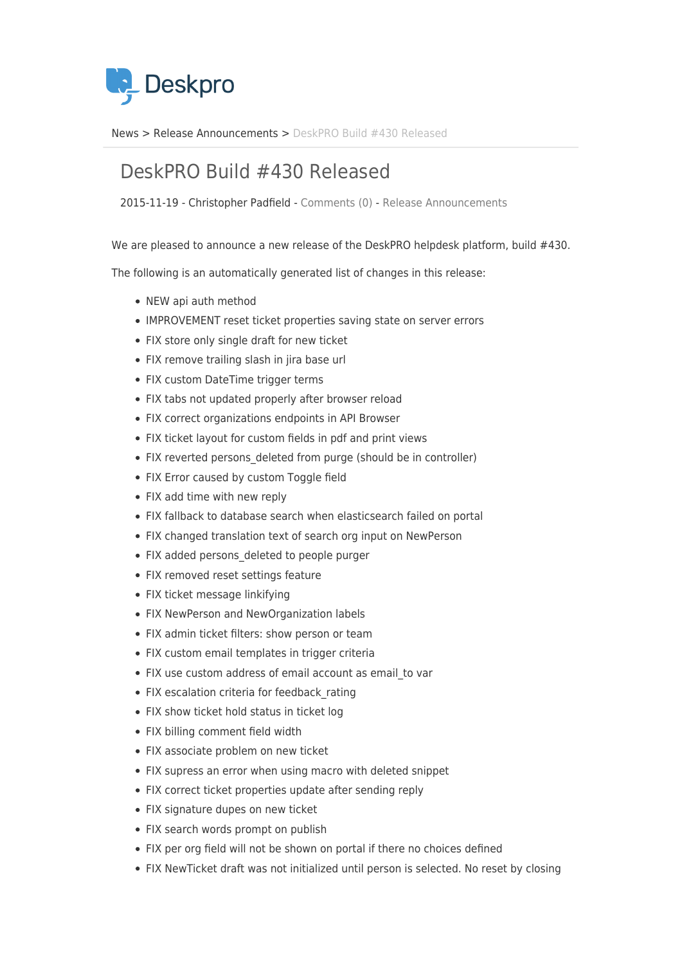

[News](https://support.deskpro.com/ro/news) > [Release Announcements](https://support.deskpro.com/ro/news/release-announcements) > [DeskPRO Build #430 Released](https://support.deskpro.com/ro/news/posts/deskpro-build-430-released)

## DeskPRO Build #430 Released

2015-11-19 - Christopher Padfield - [Comments \(0\)](#page--1-0) - [Release Announcements](https://support.deskpro.com/ro/news/release-announcements)

We are pleased to announce a new release of the DeskPRO helpdesk platform, build #430.

The following is an automatically generated list of changes in this release:

- NEW api auth method
- IMPROVEMENT reset ticket properties saving state on server errors
- FIX store only single draft for new ticket
- FIX remove trailing slash in jira base url
- FIX custom DateTime trigger terms
- FIX tabs not updated properly after browser reload
- FIX correct organizations endpoints in API Browser
- FIX ticket layout for custom fields in pdf and print views
- FIX reverted persons deleted from purge (should be in controller)
- FIX Error caused by custom Toggle field
- FIX add time with new reply
- FIX fallback to database search when elasticsearch failed on portal
- FIX changed translation text of search org input on NewPerson
- FIX added persons deleted to people purger
- FIX removed reset settings feature
- FIX ticket message linkifying
- FIX NewPerson and NewOrganization labels
- FIX admin ticket filters: show person or team
- FIX custom email templates in trigger criteria
- FIX use custom address of email account as email to var
- FIX escalation criteria for feedback rating
- FIX show ticket hold status in ticket log
- FIX billing comment field width
- FIX associate problem on new ticket
- FIX supress an error when using macro with deleted snippet
- FIX correct ticket properties update after sending reply
- FIX signature dupes on new ticket
- FIX search words prompt on publish
- FIX per org field will not be shown on portal if there no choices defined
- FIX NewTicket draft was not initialized until person is selected. No reset by closing